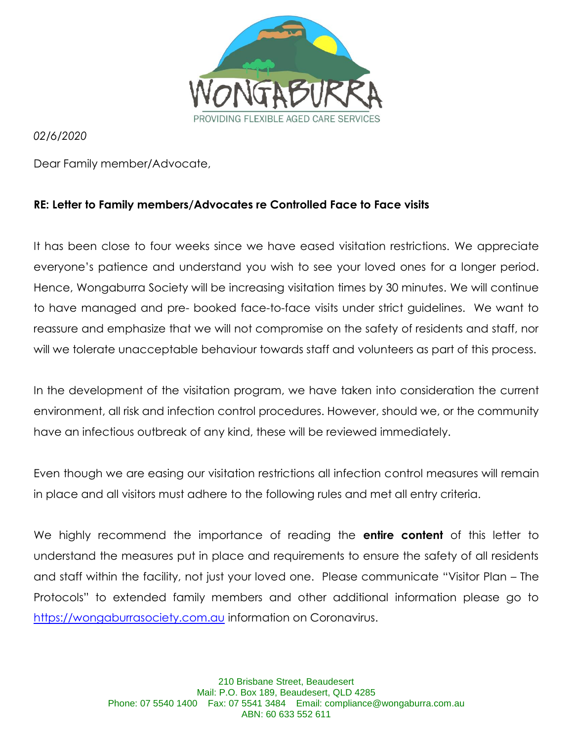

*02/6/2020* 

Dear Family member/Advocate,

### **RE: Letter to Family members/Advocates re Controlled Face to Face visits**

It has been close to four weeks since we have eased visitation restrictions. We appreciate everyone's patience and understand you wish to see your loved ones for a longer period. Hence, Wongaburra Society will be increasing visitation times by 30 minutes. We will continue to have managed and pre- booked face-to-face visits under strict guidelines. We want to reassure and emphasize that we will not compromise on the safety of residents and staff, nor will we tolerate unacceptable behaviour towards staff and volunteers as part of this process.

In the development of the visitation program, we have taken into consideration the current environment, all risk and infection control procedures. However, should we, or the community have an infectious outbreak of any kind, these will be reviewed immediately.

Even though we are easing our visitation restrictions all infection control measures will remain in place and all visitors must adhere to the following rules and met all entry criteria.

We highly recommend the importance of reading the **entire content** of this letter to understand the measures put in place and requirements to ensure the safety of all residents and staff within the facility, not just your loved one. Please communicate "Visitor Plan – The Protocols" to extended family members and other additional information please go to [https://wongaburrasociety.com.au](https://wongaburrasociety.com.au/) information on Coronavirus.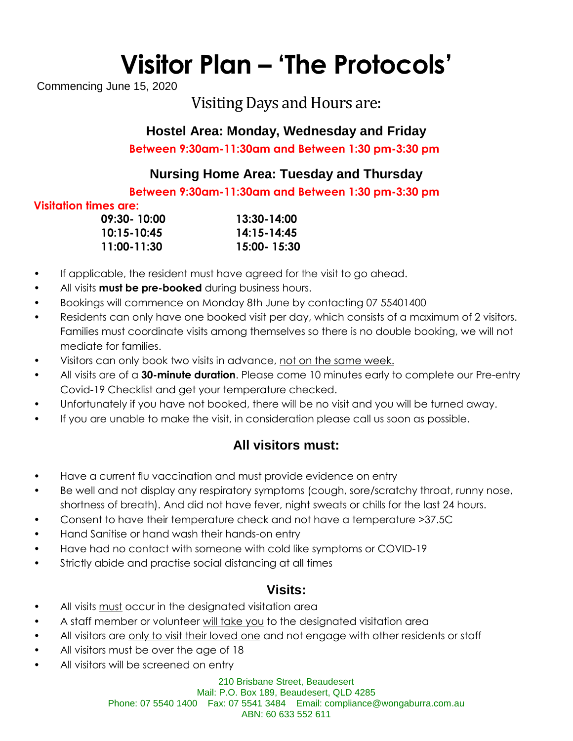# **Visitor Plan – 'The Protocols'**

Commencing June 15, 2020

## Visiting Days and Hours are:

## **Hostel Area: Monday, Wednesday and Friday**

**Between 9:30am-11:30am and Between 1:30 pm-3:30 pm**

## **Nursing Home Area: Tuesday and Thursday**

**Between 9:30am-11:30am and Between 1:30 pm-3:30 pm**

#### **Visitation times are:**

| $09:30 - 10:00$ | 13:30-14:00   |
|-----------------|---------------|
| 10:15-10:45     | 14:15-14:45   |
| 11:00-11:30     | 15:00 - 15:30 |

- If applicable, the resident must have agreed for the visit to go ahead.
- All visits **must be pre-booked** during business hours.
- Bookings will commence on Monday 8th June by contacting 07 55401400
- Residents can only have one booked visit per day, which consists of a maximum of 2 visitors. Families must coordinate visits among themselves so there is no double booking, we will not mediate for families.
- Visitors can only book two visits in advance, not on the same week.
- All visits are of a **30-minute duration**. Please come 10 minutes early to complete our Pre-entry Covid-19 Checklist and get your temperature checked.
- Unfortunately if you have not booked, there will be no visit and you will be turned away.
- If you are unable to make the visit, in consideration please call us soon as possible.

## **All visitors must:**

- Have a current flu vaccination and must provide evidence on entry
- Be well and not display any respiratory symptoms (cough, sore/scratchy throat, runny nose, shortness of breath). And did not have fever, night sweats or chills for the last 24 hours.
- Consent to have their temperature check and not have a temperature >37.5C
- Hand Sanitise or hand wash their hands-on entry
- Have had no contact with someone with cold like symptoms or COVID-19
- Strictly abide and practise social distancing at all times

## **Visits:**

- All visits must occur in the designated visitation area
- A staff member or volunteer will take you to the designated visitation area
- All visitors are only to visit their loved one and not engage with other residents or staff
- All visitors must be over the age of 18
- All visitors will be screened on entry

210 Brisbane Street, Beaudesert Mail: P.O. Box 189, Beaudesert, QLD 4285 Phone: 07 5540 1400 Fax: 07 5541 3484 Email: compliance@wongaburra.com.au ABN: 60 633 552 611